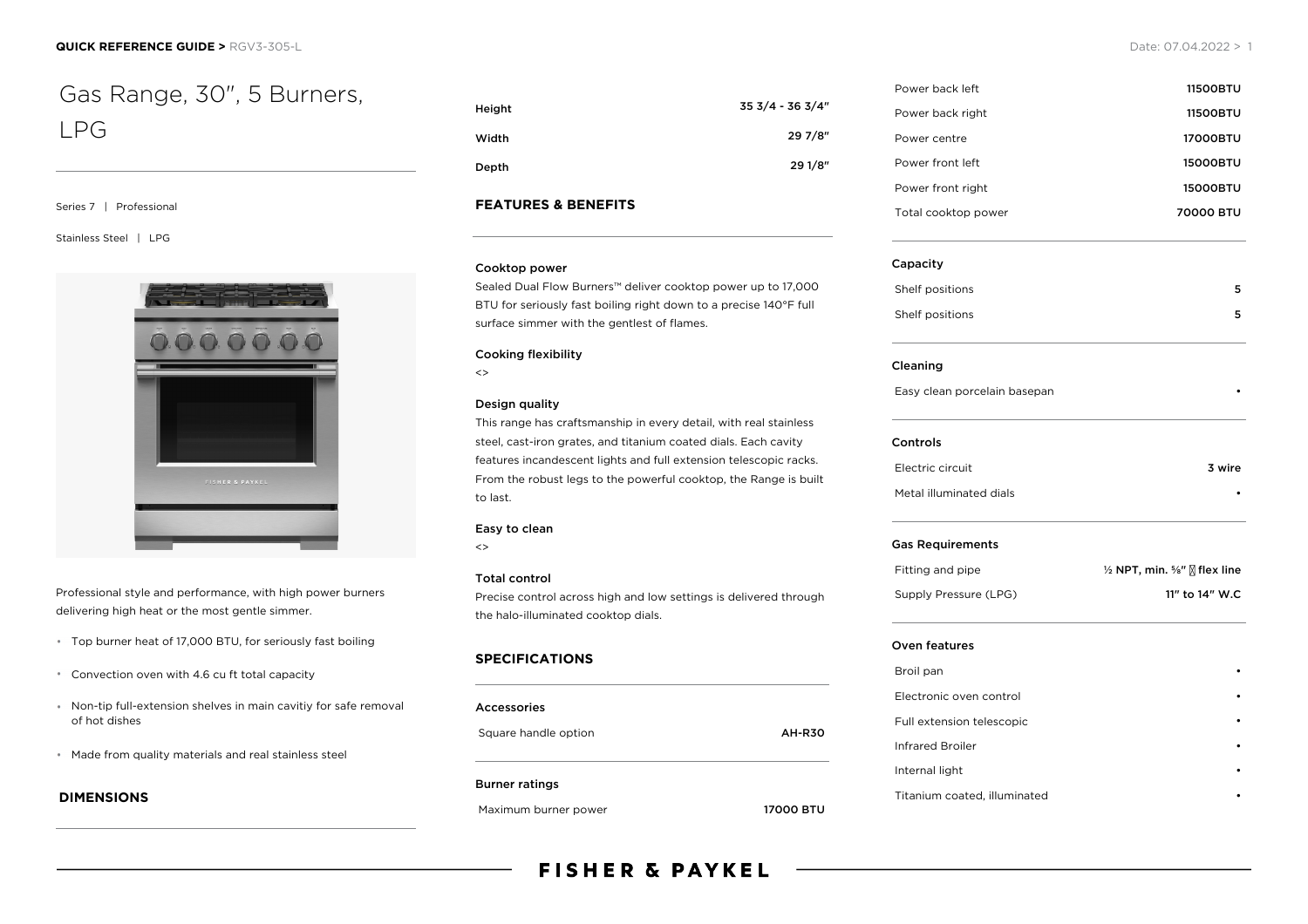# Gas Range, 30", 5 Burners, LPG

#### Series 7 | Professional

Stainless Steel | LPG



Professional style and performance, with high power burners delivering high heat or the most gentle simmer.

- Top burner heat of 17,000 BTU, for seriously fast boiling
- Convection oven with 4.6 cu ft total capacity
- Non-tip full-extension shelves in main cavitiy for safe removal of hot dishes
- Made from quality materials and real stainless steel

### **DIMENSIONS**

| Height | 35 3/4 - 36 3/4" |
|--------|------------------|
| Width  | 29 7/8"          |
| Depth  | 29 1/8"          |

#### **FEATURES & BENEFITS**

#### Cooktop power

Sealed Dual Flow Burners™ deliver cooktop power up to 17,000 BTU for seriously fast boiling right down to a precise 140°F full surface simmer with the gentlest of flames.

#### Cooking flexibility

 $\left\langle \right\rangle$ 

#### Design quality

This range has craftsmanship in every detail, with real stainless steel, cast-iron grates, and titanium coated dials. Each cavity features incandescent lights and full extension telescopic racks. From the robust legs to the powerful cooktop, the Range is built to last.

#### Easy to clean

 $\left\langle \right\rangle$ 

#### Total control

Precise control across high and low settings is delivered through the halo-illuminated cooktop dials.

#### **SPECIFICATIONS**

| Accessories           |               |
|-----------------------|---------------|
| Square handle option  | <b>AH-R30</b> |
| <b>Burner ratings</b> |               |



| Power back left     | <b>11500BTU</b> |
|---------------------|-----------------|
| Power back right    | <b>11500BTU</b> |
| Power centre        | 17000BTU        |
| Power front left    | 15000BTU        |
| Power front right   | <b>15000BTU</b> |
| Total cooktop power | 70000 BTU       |

#### Capacity

| Shelf positions | 5 |
|-----------------|---|
| Shelf positions | 5 |

#### Cleaning

Easy clean porcelain basepan •

#### Controls

| Electric circuit        | 3 wire |
|-------------------------|--------|
| Metal illuminated dials | ٠      |

#### Gas Requirements

| Fitting and pipe      | $\frac{1}{2}$ NPT, min. $\frac{5}{8}$ " $\sqrt{8}$ flex line |
|-----------------------|--------------------------------------------------------------|
| Supply Pressure (LPG) | 11" to 14" W.C                                               |

#### Oven features

| Broil pan                    |  |
|------------------------------|--|
| Electronic oven control      |  |
| Full extension telescopic    |  |
| <b>Infrared Broiler</b>      |  |
| Internal light               |  |
| Titanium coated, illuminated |  |

## **FISHER & PAYKEL**